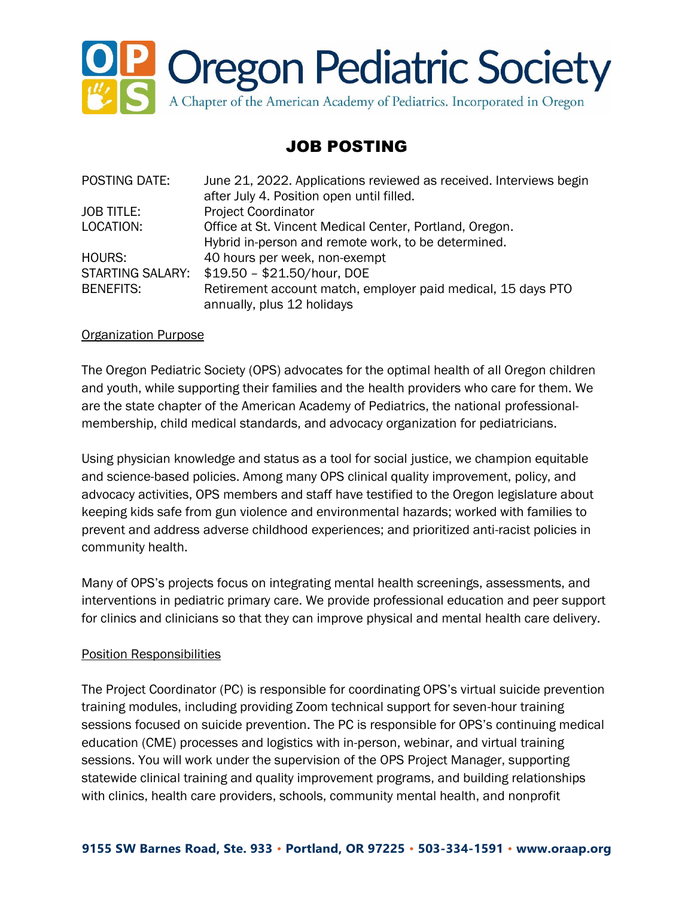

# JOB POSTING

| POSTING DATE:     | June 21, 2022. Applications reviewed as received. Interviews begin |
|-------------------|--------------------------------------------------------------------|
|                   | after July 4. Position open until filled.                          |
| <b>JOB TITLE:</b> | <b>Project Coordinator</b>                                         |
| LOCATION:         | Office at St. Vincent Medical Center, Portland, Oregon.            |
|                   | Hybrid in-person and remote work, to be determined.                |
| HOURS:            | 40 hours per week, non-exempt                                      |
| STARTING SALARY:  | \$19.50 - \$21.50/hour, DOE                                        |
| <b>BENEFITS:</b>  | Retirement account match, employer paid medical, 15 days PTO       |
|                   | annually, plus 12 holidays                                         |

#### Organization Purpose

The Oregon Pediatric Society (OPS) advocates for the optimal health of all Oregon children and youth, while supporting their families and the health providers who care for them. We are the state chapter of the American Academy of Pediatrics, the national professionalmembership, child medical standards, and advocacy organization for pediatricians.

Using physician knowledge and status as a tool for social justice, we champion equitable and science-based policies. Among many OPS clinical quality improvement, policy, and advocacy activities, OPS members and staff have testified to the Oregon legislature about keeping kids safe from gun violence and environmental hazards; worked with families to prevent and address adverse childhood experiences; and prioritized anti-racist policies in community health.

Many of OPS's projects focus on integrating mental health screenings, assessments, and interventions in pediatric primary care. We provide professional education and peer support for clinics and clinicians so that they can improve physical and mental health care delivery.

# Position Responsibilities

The Project Coordinator (PC) is responsible for coordinating OPS's virtual suicide prevention training modules, including providing Zoom technical support for seven-hour training sessions focused on suicide prevention. The PC is responsible for OPS's continuing medical education (CME) processes and logistics with in-person, webinar, and virtual training sessions. You will work under the supervision of the OPS Project Manager, supporting statewide clinical training and quality improvement programs, and building relationships with clinics, health care providers, schools, community mental health, and nonprofit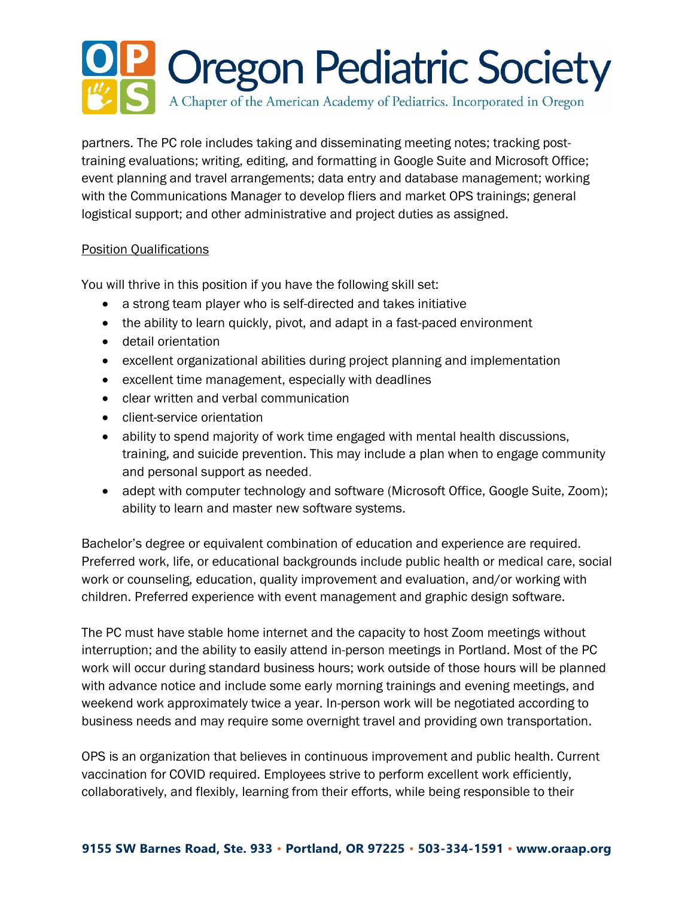# **PP Oregon Pediatric Society** A Chapter of the American Academy of Pediatrics. Incorporated in Oregon

partners. The PC role includes taking and disseminating meeting notes; tracking posttraining evaluations; writing, editing, and formatting in Google Suite and Microsoft Office; event planning and travel arrangements; data entry and database management; working with the Communications Manager to develop fliers and market OPS trainings; general logistical support; and other administrative and project duties as assigned.

## Position Qualifications

You will thrive in this position if you have the following skill set:

- a strong team player who is self-directed and takes initiative
- the ability to learn quickly, pivot, and adapt in a fast-paced environment
- detail orientation
- excellent organizational abilities during project planning and implementation
- excellent time management, especially with deadlines
- clear written and verbal communication
- client-service orientation
- ability to spend majority of work time engaged with mental health discussions, training, and suicide prevention. This may include a plan when to engage community and personal support as needed.
- adept with computer technology and software (Microsoft Office, Google Suite, Zoom); ability to learn and master new software systems.

Bachelor's degree or equivalent combination of education and experience are required. Preferred work, life, or educational backgrounds include public health or medical care, social work or counseling, education, quality improvement and evaluation, and/or working with children. Preferred experience with event management and graphic design software.

The PC must have stable home internet and the capacity to host Zoom meetings without interruption; and the ability to easily attend in-person meetings in Portland. Most of the PC work will occur during standard business hours; work outside of those hours will be planned with advance notice and include some early morning trainings and evening meetings, and weekend work approximately twice a year. In-person work will be negotiated according to business needs and may require some overnight travel and providing own transportation.

OPS is an organization that believes in continuous improvement and public health. Current vaccination for COVID required. Employees strive to perform excellent work efficiently, collaboratively, and flexibly, learning from their efforts, while being responsible to their